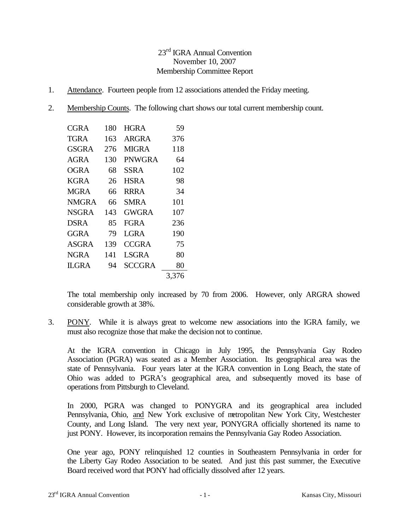# 23<sup>rd</sup> IGRA Annual Convention November 10, 2007 Membership Committee Report

- 1. Attendance. Fourteen people from 12 associations attended the Friday meeting.
- 2. Membership Counts. The following chart shows our total current membership count.

| CGRA         | 180 | <b>HGRA</b>  | 59    |
|--------------|-----|--------------|-------|
| TGRA         | 163 | ARGRA        | 376   |
| <b>GSGRA</b> | 276 | <b>MIGRA</b> | 118   |
| <b>AGRA</b>  | 130 | PNWGRA       | 64    |
| OGRA         | 68  | SSRA         | 102   |
| <b>KGRA</b>  | 26  | HSRA         | 98    |
| <b>MGRA</b>  | 66  | RRRA         | 34    |
| NMGRA        | 66  | <b>SMRA</b>  | 101   |
| <b>NSGRA</b> | 143 | GWGRA        | 107   |
| DSRA         | 85  | <b>FGRA</b>  | 236   |
| GGRA         | 79  | LGRA         | 190   |
| <b>ASGRA</b> | 139 | CCGR A       | 75    |
| <b>NGRA</b>  | 141 | LSGRA        | 80    |
| IL GRA       | 94  | SCCGRA       | 80    |
|              |     |              | 3,376 |
|              |     |              |       |

The total membership only increased by 70 from 2006. However, only ARGRA showed considerable growth at 38%.

3. PONY. While it is always great to welcome new associations into the IGRA family, we must also recognize those that make the decision not to continue.

At the IGRA convention in Chicago in July 1995, the Pennsylvania Gay Rodeo Association (PGRA) was seated as a Member Association. Its geographical area was the state of Pennsylvania. Four years later at the IGRA convention in Long Beach, the state of Ohio was added to PGRA's geographical area, and subsequently moved its base of operations from Pittsburgh to Cleveland.

In 2000, PGRA was changed to PONYGRA and its geographical area included Pennsylvania, Ohio, and New York exclusive of metropolitan New York City, Westchester County, and Long Island. The very next year, PONYGRA officially shortened its name to just PONY. However, its incorporation remains the Pennsylvania Gay Rodeo Association.

One year ago, PONY relinquished 12 counties in Southeastern Pennsylvania in order for the Liberty Gay Rodeo Association to be seated. And just this past summer, the Executive Board received word that PONY had officially dissolved after 12 years.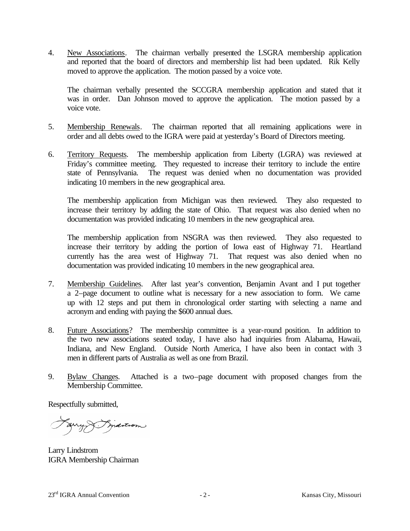4. New Associations. The chairman verbally presented the LSGRA membership application and reported that the board of directors and membership list had been updated. Rik Kelly moved to approve the application. The motion passed by a voice vote.

The chairman verbally presented the SCCGRA membership application and stated that it was in order. Dan Johnson moved to approve the application. The motion passed by a voice vote.

- 5. Membership Renewals. The chairman reported that all remaining applications were in order and all debts owed to the IGRA were paid at yesterday's Board of Directors meeting.
- 6. Territory Requests. The membership application from Liberty (LGRA) was reviewed at Friday's committee meeting. They requested to increase their territory to include the entire state of Pennsylvania. The request was denied when no documentation was provided indicating 10 members in the new geographical area.

The membership application from Michigan was then reviewed. They also requested to increase their territory by adding the state of Ohio. That request was also denied when no documentation was provided indicating 10 members in the new geographical area.

The membership application from NSGRA was then reviewed. They also requested to increase their territory by adding the portion of Iowa east of Highway 71. Heartland currently has the area west of Highway 71. That request was also denied when no documentation was provided indicating 10 members in the new geographical area.

- 7. Membership Guidelines. After last year's convention, Benjamin Avant and I put together a 2–page document to outline what is necessary for a new association to form. We came up with 12 steps and put them in chronological order starting with selecting a name and acronym and ending with paying the \$600 annual dues.
- 8. Future Associations? The membership committee is a year-round position. In addition to the two new associations seated today, I have also had inquiries from Alabama, Hawaii, Indiana, and New England. Outside North America, I have also been in contact with 3 men in different parts of Australia as well as one from Brazil.
- 9. Bylaw Changes. Attached is a two–page document with proposed changes from the Membership Committee.

Respectfully submitted,

Farry S. Fridation

Larry Lindstrom IGRA Membership Chairman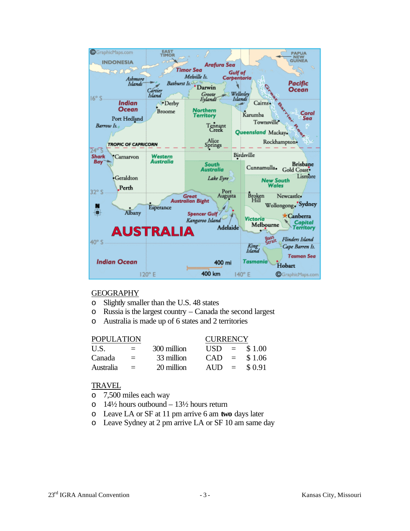

### GEOGRAPHY

- o Slightly smaller than the U.S. 48 states
- o Russia is the largest country Canada the second largest
- o Australia is made up of 6 states and 2 territories

## POPULATION CURRENCY U.S.  $=$  300 million USD  $=$  \$1.00 Canada =  $33$  million CAD =  $$1.06$ Australia =  $20 \text{ million}$  AUD =  $$0.91$

### TRAVEL

- o 7,500 miles each way
- $\circ$  14½ hours outbound 13½ hours return
- o Leave LA or SF at 11 pm arrive 6 am **two** days later
- o Leave Sydney at 2 pm arrive LA or SF 10 am same day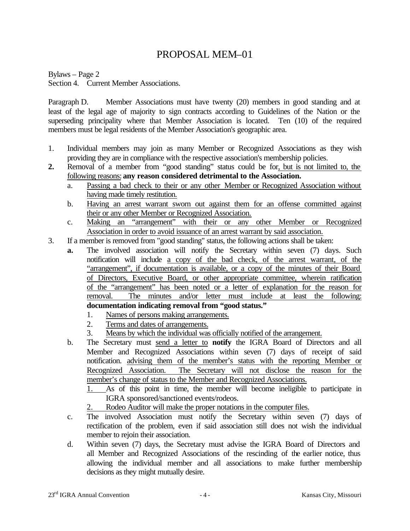# PROPOSAL MEM–01

Bylaws – Page 2 Section 4. Current Member Associations.

Paragraph D. Member Associations must have twenty (20) members in good standing and at least of the legal age of majority to sign contracts according to Guidelines of the Nation or the superseding principality where that Member Association is located. Ten (10) of the required members must be legal residents of the Member Association's geographic area.

- 1. Individual members may join as many Member or Recognized Associations as they wish providing they are in compliance with the respective association's membership policies.
- **2.** Removal of a member from "good standing" status could be for, but is not limited to, the following reasons: **any reason considered detrimental to the Association.**
	- a. Passing a bad check to their or any other Member or Recognized Association without having made timely restitution.
	- b. Having an arrest warrant sworn out against them for an offense committed against their or any other Member or Recognized Association.
	- c. Making an "arrangement" with their or any other Member or Recognized Association in order to avoid issuance of an arrest warrant by said association.
- 3. If a member is removed from "good standing" status, the following actions shall be taken:
	- **a.** The involved association will notify the Secretary within seven (7) days. Such notification will include a copy of the bad check, of the arrest warrant, of the "arrangement", if documentation is available, or a copy of the minutes of their Board of Directors, Executive Board, or other appropriate committee, wherein ratification of the "arrangement" has been noted or a letter of explanation for the reason for removal. The minutes and/or letter must include at least the following: **documentation indicating removal from "good status."**
		- 1. Names of persons making arrangements.
		- 2. Terms and dates of arrangements.
		- 3. Means by which the individual was officially notified of the arrangement.
	- b. The Secretary must send a letter to **notify** the IGRA Board of Directors and all Member and Recognized Associations within seven (7) days of receipt of said notification. advising them of the member's status with the reporting Member or Recognized Association. The Secretary will not disclose the reason for the member's change of status to the Member and Recognized Associations.
		- 1. As of this point in time, the member will become ineligible to participate in IGRA sponsored/sanctioned events/rodeos.
		- 2. Rodeo Auditor will make the proper notations in the computer files.
	- c. The involved Association must notify the Secretary within seven (7) days of rectification of the problem, even if said association still does not wish the individual member to rejoin their association.
	- d. Within seven (7) days, the Secretary must advise the IGRA Board of Directors and all Member and Recognized Associations of the rescinding of the earlier notice, thus allowing the individual member and all associations to make further membership decisions as they might mutually desire.